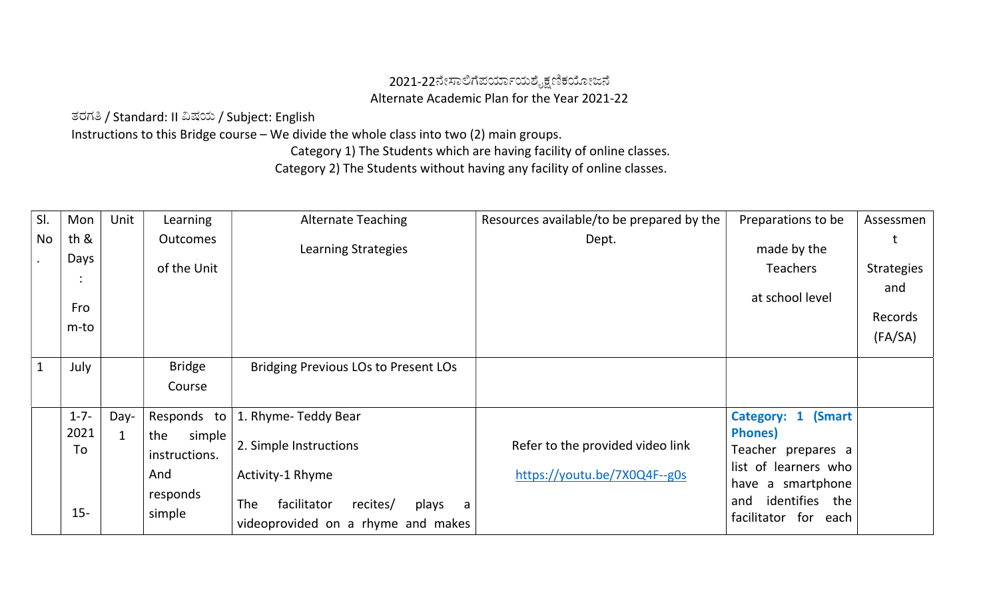## 2021-22ನೇಸಾಲಿಗೆಪರ್ಯಾಯಶೈಕ್ಷಣಿಕಯೋಜನೆ Alternate Academic Plan for the Year 2021-22

ತರಗ⁀ / Standard: II ⁎ಷಯ / Subject: English

Instructions to this Bridge course – We divide the whole class into two (2) main groups.

Category 1) The Students which are having facility of online classes.

Category 2) The Students without having any facility of online classes.

| th &<br>Days<br>$\bullet$<br>Fro |   | <b>Outcomes</b><br>of the Unit | Learning Strategies                                 | Dept.                                                        | made by the<br><b>Teachers</b>                | <b>Strategies</b>                         |
|----------------------------------|---|--------------------------------|-----------------------------------------------------|--------------------------------------------------------------|-----------------------------------------------|-------------------------------------------|
|                                  |   |                                |                                                     |                                                              |                                               |                                           |
|                                  |   |                                |                                                     |                                                              |                                               |                                           |
|                                  |   |                                |                                                     |                                                              | at school level                               | and                                       |
|                                  |   |                                |                                                     |                                                              |                                               | Records                                   |
| m-to                             |   |                                |                                                     |                                                              |                                               | (FA/SA)                                   |
| July                             |   | <b>Bridge</b>                  | <b>Bridging Previous LOs to Present LOs</b>         |                                                              |                                               |                                           |
|                                  |   | Course                         |                                                     |                                                              |                                               |                                           |
| $1 - 7 -$                        |   | Responds to                    | 1. Rhyme- Teddy Bear                                |                                                              | Category: 1 (Smart                            |                                           |
| 2021                             | 1 | the<br>simple                  |                                                     |                                                              | <b>Phones</b> )                               |                                           |
| To                               |   | instructions.                  |                                                     |                                                              | Teacher prepares a                            |                                           |
|                                  |   | And                            | Activity-1 Rhyme                                    | https://youtu.be/7X0Q4F--g0s                                 |                                               |                                           |
| $15 -$                           |   | responds<br>simple             | <b>The</b><br>facilitator<br>recites/<br>plays<br>a |                                                              | identifies the<br>and<br>facilitator for each |                                           |
|                                  |   | Day-                           |                                                     | 2. Simple Instructions<br>videoprovided on a rhyme and makes | Refer to the provided video link              | list of learners who<br>have a smartphone |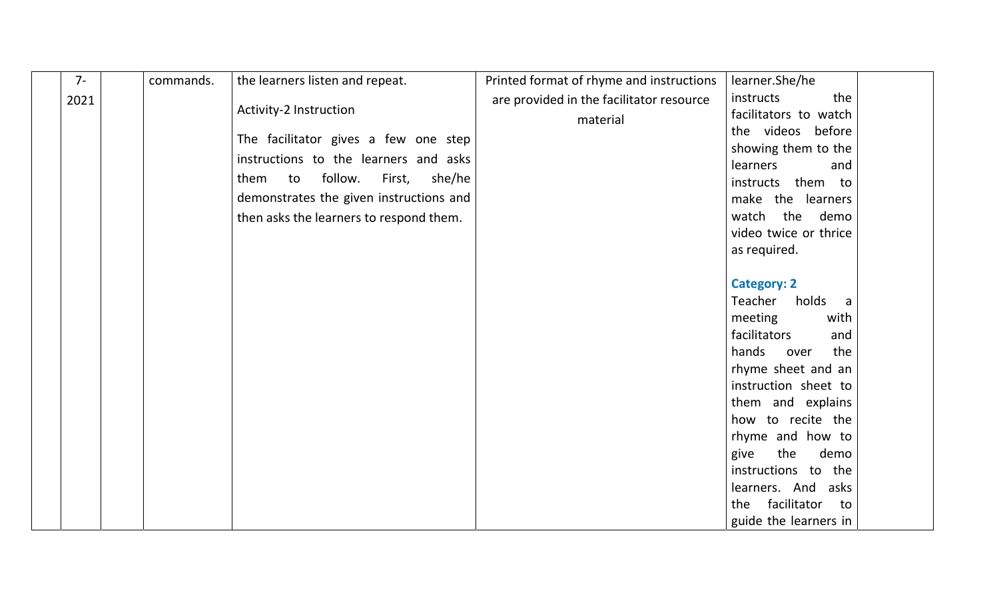| $7-$ | commands. | the learners listen and repeat.                                                                                                                                                                                  | Printed format of rhyme and instructions | learner.She/he                                                                                                                                                                                                                                                                                                                                                         |  |
|------|-----------|------------------------------------------------------------------------------------------------------------------------------------------------------------------------------------------------------------------|------------------------------------------|------------------------------------------------------------------------------------------------------------------------------------------------------------------------------------------------------------------------------------------------------------------------------------------------------------------------------------------------------------------------|--|
| 2021 |           | Activity-2 Instruction                                                                                                                                                                                           | are provided in the facilitator resource | instructs<br>the<br>facilitators to watch                                                                                                                                                                                                                                                                                                                              |  |
|      |           | The facilitator gives a few one step<br>instructions to the learners and asks<br>follow.<br>she/he<br>them<br>to<br>First,<br>demonstrates the given instructions and<br>then asks the learners to respond them. | material                                 | the videos before<br>showing them to the<br>learners<br>and<br>instructs them to<br>make the learners<br>watch the demo<br>video twice or thrice<br>as required.<br><b>Category: 2</b><br>Teacher<br>holds a<br>meeting<br>with<br>facilitators<br>and<br>hands<br>the<br>over<br>rhyme sheet and an<br>instruction sheet to<br>them and explains<br>how to recite the |  |
|      |           |                                                                                                                                                                                                                  |                                          | rhyme and how to<br>the<br>demo<br>give                                                                                                                                                                                                                                                                                                                                |  |
|      |           |                                                                                                                                                                                                                  |                                          | instructions to the                                                                                                                                                                                                                                                                                                                                                    |  |
|      |           |                                                                                                                                                                                                                  |                                          | learners. And asks                                                                                                                                                                                                                                                                                                                                                     |  |
|      |           |                                                                                                                                                                                                                  |                                          | facilitator<br>the<br>to                                                                                                                                                                                                                                                                                                                                               |  |
|      |           |                                                                                                                                                                                                                  |                                          | guide the learners in                                                                                                                                                                                                                                                                                                                                                  |  |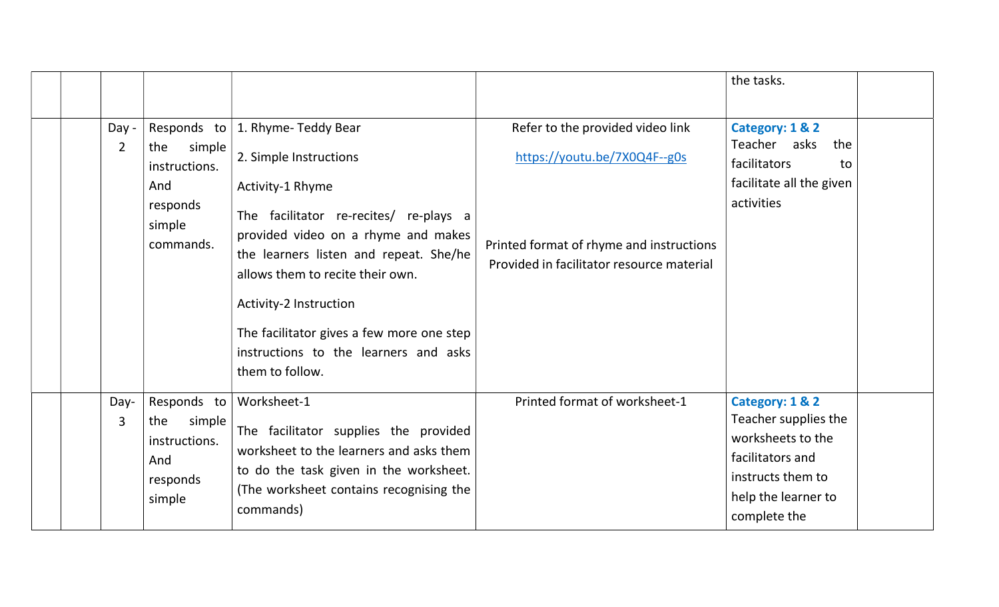|                         |                                                                            |                                                                                                                                                                                                                                                                                                                                                                                   |                                                                                                                                                           | the tasks.                                                                                                                                   |  |
|-------------------------|----------------------------------------------------------------------------|-----------------------------------------------------------------------------------------------------------------------------------------------------------------------------------------------------------------------------------------------------------------------------------------------------------------------------------------------------------------------------------|-----------------------------------------------------------------------------------------------------------------------------------------------------------|----------------------------------------------------------------------------------------------------------------------------------------------|--|
| Day -<br>$\overline{2}$ | simple<br>the<br>instructions.<br>And<br>responds<br>simple<br>commands.   | Responds to   1. Rhyme-Teddy Bear<br>2. Simple Instructions<br>Activity-1 Rhyme<br>The facilitator re-recites/ re-plays a<br>provided video on a rhyme and makes<br>the learners listen and repeat. She/he<br>allows them to recite their own.<br>Activity-2 Instruction<br>The facilitator gives a few more one step<br>instructions to the learners and asks<br>them to follow. | Refer to the provided video link<br>https://youtu.be/7X0Q4F--g0s<br>Printed format of rhyme and instructions<br>Provided in facilitator resource material | Category: 1 & 2<br>Teacher asks<br>the<br>facilitators<br>to<br>facilitate all the given<br>activities                                       |  |
| Day-<br>3               | Responds to<br>simple<br>the<br>instructions.<br>And<br>responds<br>simple | Worksheet-1<br>The facilitator supplies the provided<br>worksheet to the learners and asks them<br>to do the task given in the worksheet.<br>(The worksheet contains recognising the<br>commands)                                                                                                                                                                                 | Printed format of worksheet-1                                                                                                                             | Category: 1 & 2<br>Teacher supplies the<br>worksheets to the<br>facilitators and<br>instructs them to<br>help the learner to<br>complete the |  |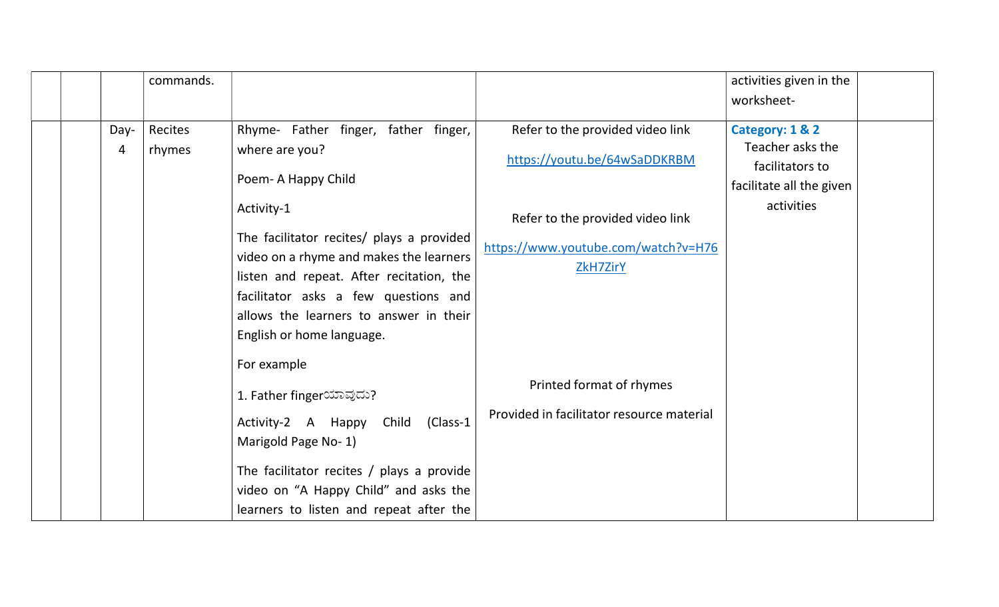|           | commands.         |                                                                                                                                                                                                                                                               |                                                                                     | activities given in the                                                            |  |
|-----------|-------------------|---------------------------------------------------------------------------------------------------------------------------------------------------------------------------------------------------------------------------------------------------------------|-------------------------------------------------------------------------------------|------------------------------------------------------------------------------------|--|
|           |                   |                                                                                                                                                                                                                                                               |                                                                                     | worksheet-                                                                         |  |
| Day-<br>4 | Recites<br>rhymes | Rhyme- Father finger, father finger,<br>where are you?<br>Poem-A Happy Child                                                                                                                                                                                  | Refer to the provided video link<br>https://youtu.be/64wSaDDKRBM                    | Category: 1 & 2<br>Teacher asks the<br>facilitators to<br>facilitate all the given |  |
|           |                   | Activity-1<br>The facilitator recites/ plays a provided<br>video on a rhyme and makes the learners<br>listen and repeat. After recitation, the<br>facilitator asks a few questions and<br>allows the learners to answer in their<br>English or home language. | Refer to the provided video link<br>https://www.youtube.com/watch?v=H76<br>ZkH7ZirY | activities                                                                         |  |
|           |                   | For example<br>1. Father fingerಯಾವುದು?<br>Activity-2 A Happy<br>Child<br>(Class-1<br>Marigold Page No-1)<br>The facilitator recites $/$ plays a provide<br>video on "A Happy Child" and asks the<br>learners to listen and repeat after the                   | Printed format of rhymes<br>Provided in facilitator resource material               |                                                                                    |  |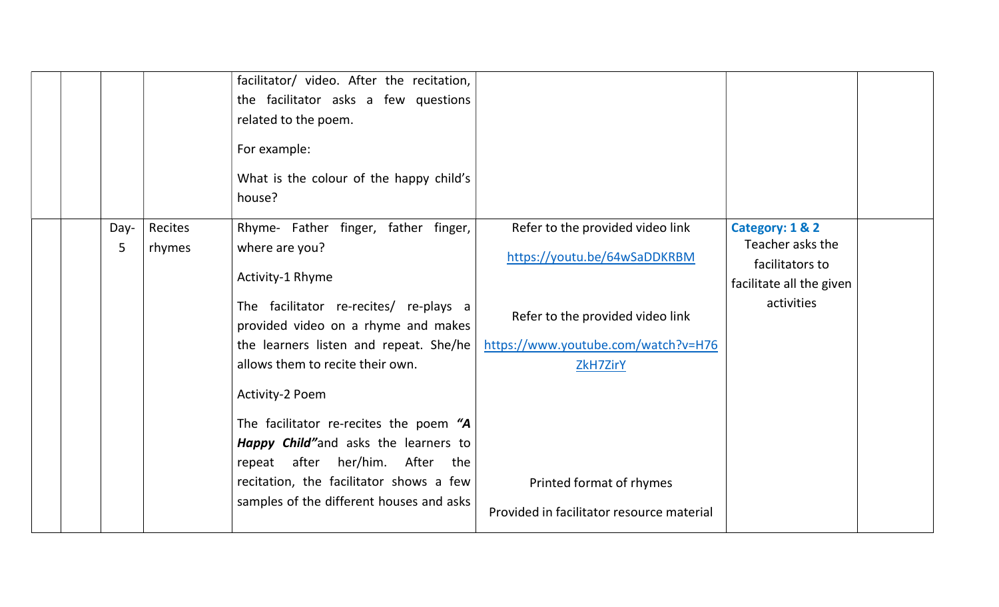|           |                   | facilitator/ video. After the recitation,<br>the facilitator asks a few questions<br>related to the poem.<br>For example:<br>What is the colour of the happy child's<br>house?                                                                                                                                                                                                                                                                                                   |                                                                                                                                                                                                                                         |                                                                                                  |  |
|-----------|-------------------|----------------------------------------------------------------------------------------------------------------------------------------------------------------------------------------------------------------------------------------------------------------------------------------------------------------------------------------------------------------------------------------------------------------------------------------------------------------------------------|-----------------------------------------------------------------------------------------------------------------------------------------------------------------------------------------------------------------------------------------|--------------------------------------------------------------------------------------------------|--|
| Day-<br>5 | Recites<br>rhymes | Rhyme- Father finger, father finger,<br>where are you?<br>Activity-1 Rhyme<br>The facilitator re-recites/ re-plays a<br>provided video on a rhyme and makes<br>the learners listen and repeat. She/he<br>allows them to recite their own.<br>Activity-2 Poem<br>The facilitator re-recites the poem "A<br><b>Happy Child"</b> and asks the learners to<br>repeat after her/him. After the<br>recitation, the facilitator shows a few<br>samples of the different houses and asks | Refer to the provided video link<br>https://youtu.be/64wSaDDKRBM<br>Refer to the provided video link<br>https://www.youtube.com/watch?v=H76<br><b>ZkH7ZirY</b><br>Printed format of rhymes<br>Provided in facilitator resource material | Category: 1 & 2<br>Teacher asks the<br>facilitators to<br>facilitate all the given<br>activities |  |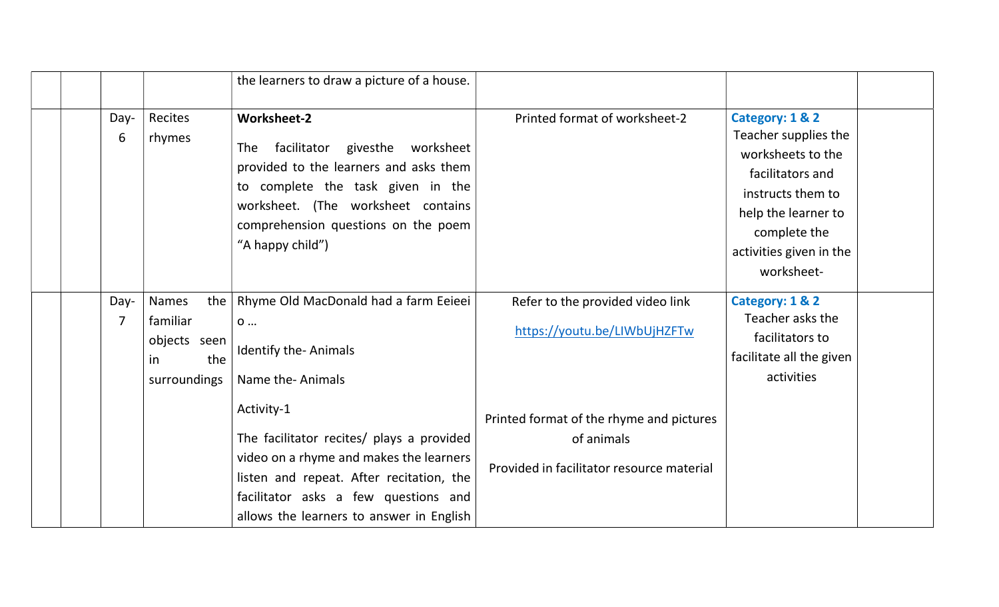|                        |                                                                              | the learners to draw a picture of a house.                                                                                                                                                                                                                                                                                          |                                                                                                                                                                         |                                                                                                                                                                                       |  |
|------------------------|------------------------------------------------------------------------------|-------------------------------------------------------------------------------------------------------------------------------------------------------------------------------------------------------------------------------------------------------------------------------------------------------------------------------------|-------------------------------------------------------------------------------------------------------------------------------------------------------------------------|---------------------------------------------------------------------------------------------------------------------------------------------------------------------------------------|--|
| Day-<br>6              | Recites<br>rhymes                                                            | <b>Worksheet-2</b><br>facilitator givesthe worksheet<br><b>The</b><br>provided to the learners and asks them<br>to complete the task given in the<br>worksheet. (The worksheet contains<br>comprehension questions on the poem<br>"A happy child")                                                                                  | Printed format of worksheet-2                                                                                                                                           | Category: 1 & 2<br>Teacher supplies the<br>worksheets to the<br>facilitators and<br>instructs them to<br>help the learner to<br>complete the<br>activities given in the<br>worksheet- |  |
| Day-<br>$\overline{7}$ | <b>Names</b><br>the<br>familiar<br>objects seen<br>the<br>in<br>surroundings | Rhyme Old MacDonald had a farm Eeieei<br>0<br><b>Identify the-Animals</b><br>Name the-Animals<br>Activity-1<br>The facilitator recites/ plays a provided<br>video on a rhyme and makes the learners<br>listen and repeat. After recitation, the<br>facilitator asks a few questions and<br>allows the learners to answer in English | Refer to the provided video link<br>https://youtu.be/LIWbUjHZFTw<br>Printed format of the rhyme and pictures<br>of animals<br>Provided in facilitator resource material | Category: 1 & 2<br>Teacher asks the<br>facilitators to<br>facilitate all the given<br>activities                                                                                      |  |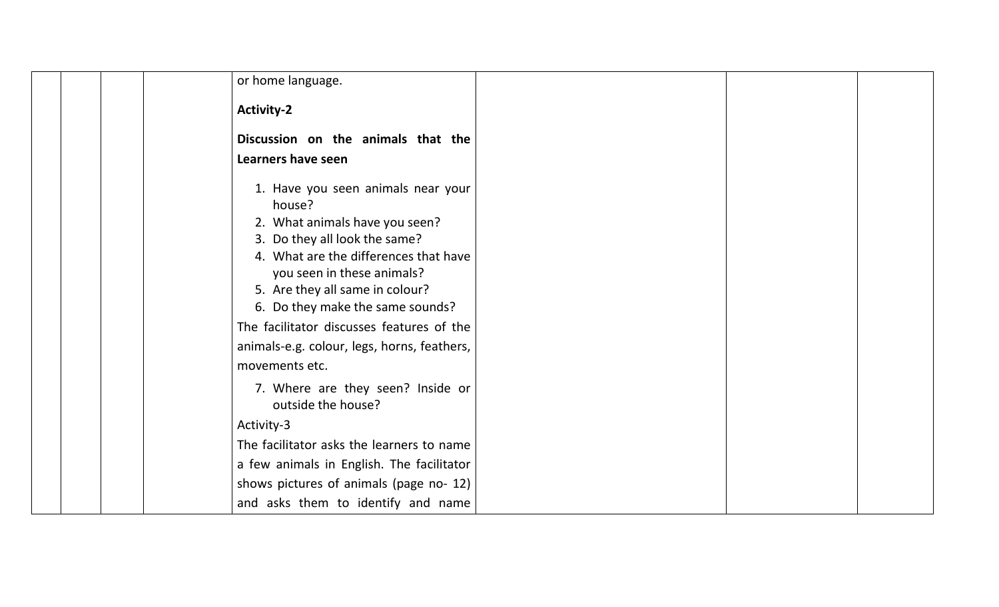| or home language.                                                                                                                                                                                                                                                                                                                                         |  |
|-----------------------------------------------------------------------------------------------------------------------------------------------------------------------------------------------------------------------------------------------------------------------------------------------------------------------------------------------------------|--|
| <b>Activity-2</b>                                                                                                                                                                                                                                                                                                                                         |  |
| Discussion on the animals that the                                                                                                                                                                                                                                                                                                                        |  |
| Learners have seen                                                                                                                                                                                                                                                                                                                                        |  |
| 1. Have you seen animals near your<br>house?<br>2. What animals have you seen?<br>3. Do they all look the same?<br>4. What are the differences that have<br>you seen in these animals?<br>5. Are they all same in colour?<br>6. Do they make the same sounds?<br>The facilitator discusses features of the<br>animals-e.g. colour, legs, horns, feathers, |  |
| movements etc.                                                                                                                                                                                                                                                                                                                                            |  |
| 7. Where are they seen? Inside or<br>outside the house?                                                                                                                                                                                                                                                                                                   |  |
| Activity-3                                                                                                                                                                                                                                                                                                                                                |  |
| The facilitator asks the learners to name                                                                                                                                                                                                                                                                                                                 |  |
| a few animals in English. The facilitator                                                                                                                                                                                                                                                                                                                 |  |
| shows pictures of animals (page no- 12)                                                                                                                                                                                                                                                                                                                   |  |
| and asks them to identify and name                                                                                                                                                                                                                                                                                                                        |  |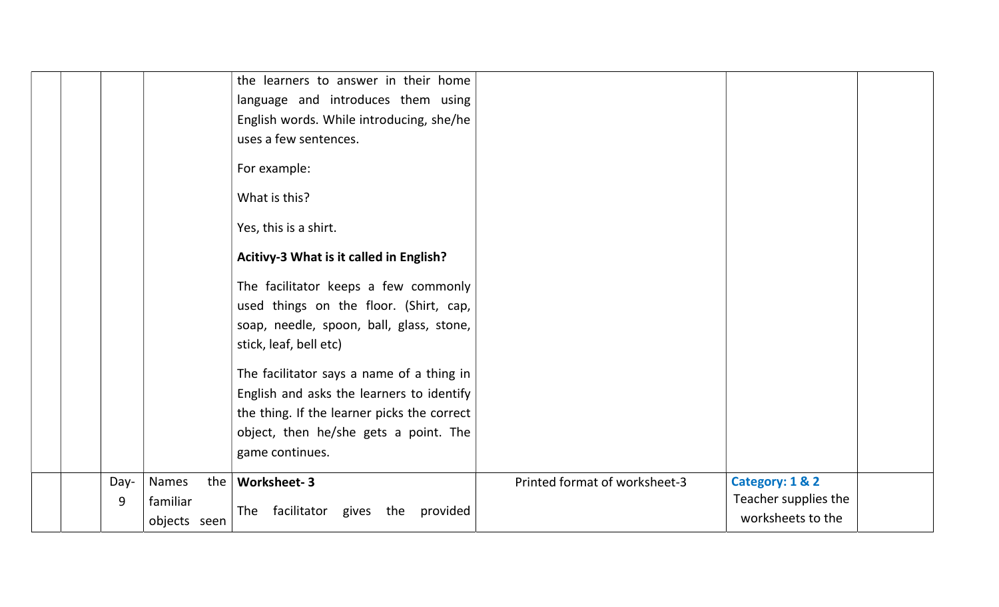|  |           |                                          | the learners to answer in their home                                                                                                                 |                               |                                                              |  |
|--|-----------|------------------------------------------|------------------------------------------------------------------------------------------------------------------------------------------------------|-------------------------------|--------------------------------------------------------------|--|
|  |           |                                          | language and introduces them using                                                                                                                   |                               |                                                              |  |
|  |           |                                          | English words. While introducing, she/he                                                                                                             |                               |                                                              |  |
|  |           |                                          | uses a few sentences.                                                                                                                                |                               |                                                              |  |
|  |           |                                          | For example:                                                                                                                                         |                               |                                                              |  |
|  |           |                                          | What is this?                                                                                                                                        |                               |                                                              |  |
|  |           |                                          | Yes, this is a shirt.                                                                                                                                |                               |                                                              |  |
|  |           |                                          | Acitivy-3 What is it called in English?                                                                                                              |                               |                                                              |  |
|  |           |                                          | The facilitator keeps a few commonly<br>used things on the floor. (Shirt, cap,<br>soap, needle, spoon, ball, glass, stone,<br>stick, leaf, bell etc) |                               |                                                              |  |
|  |           |                                          | The facilitator says a name of a thing in<br>English and asks the learners to identify                                                               |                               |                                                              |  |
|  |           |                                          | the thing. If the learner picks the correct                                                                                                          |                               |                                                              |  |
|  |           |                                          | object, then he/she gets a point. The                                                                                                                |                               |                                                              |  |
|  |           |                                          | game continues.                                                                                                                                      |                               |                                                              |  |
|  | Day-<br>9 | Names<br>the<br>familiar<br>objects seen | <b>Worksheet-3</b><br>facilitator gives<br>provided<br>The<br>the                                                                                    | Printed format of worksheet-3 | Category: 1 & 2<br>Teacher supplies the<br>worksheets to the |  |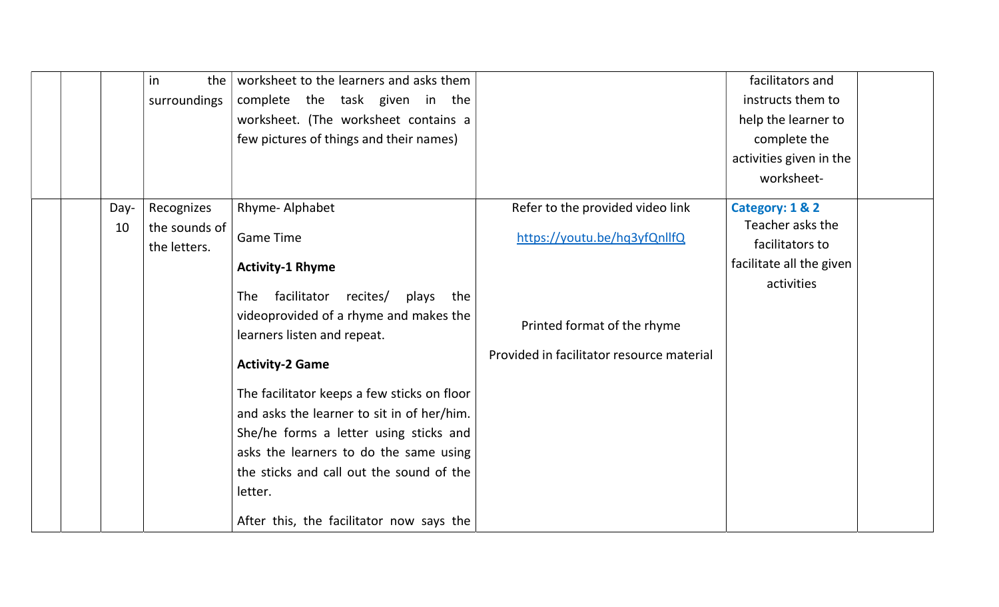|      | the<br>in     | worksheet to the learners and asks them     |                                           | facilitators and         |
|------|---------------|---------------------------------------------|-------------------------------------------|--------------------------|
|      | surroundings  | complete the task given in the              |                                           | instructs them to        |
|      |               | worksheet. (The worksheet contains a        |                                           | help the learner to      |
|      |               | few pictures of things and their names)     |                                           | complete the             |
|      |               |                                             |                                           | activities given in the  |
|      |               |                                             |                                           | worksheet-               |
| Day- | Recognizes    | Rhyme-Alphabet                              | Refer to the provided video link          | Category: 1 & 2          |
| 10   | the sounds of | <b>Game Time</b>                            | https://youtu.be/hq3yfQnllfQ              | Teacher asks the         |
|      | the letters.  |                                             |                                           | facilitators to          |
|      |               | <b>Activity-1 Rhyme</b>                     |                                           | facilitate all the given |
|      |               | The facilitator recites/<br>plays<br>the    |                                           | activities               |
|      |               | videoprovided of a rhyme and makes the      |                                           |                          |
|      |               | learners listen and repeat.                 | Printed format of the rhyme               |                          |
|      |               |                                             | Provided in facilitator resource material |                          |
|      |               | <b>Activity-2 Game</b>                      |                                           |                          |
|      |               | The facilitator keeps a few sticks on floor |                                           |                          |
|      |               | and asks the learner to sit in of her/him.  |                                           |                          |
|      |               | She/he forms a letter using sticks and      |                                           |                          |
|      |               | asks the learners to do the same using      |                                           |                          |
|      |               | the sticks and call out the sound of the    |                                           |                          |
|      |               | letter.                                     |                                           |                          |
|      |               | After this, the facilitator now says the    |                                           |                          |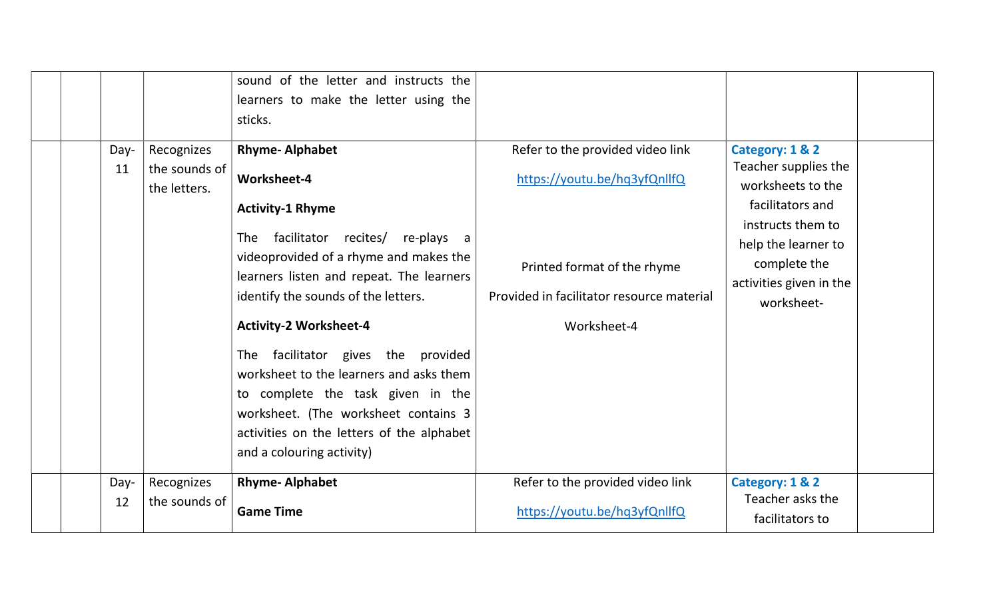|            |                                             | sound of the letter and instructs the<br>learners to make the letter using the<br>sticks.                                                                                                                                                                                                                                                                                                                                                                                                                              |                                                                                                                                                             |                                                                                                                                                                                       |  |
|------------|---------------------------------------------|------------------------------------------------------------------------------------------------------------------------------------------------------------------------------------------------------------------------------------------------------------------------------------------------------------------------------------------------------------------------------------------------------------------------------------------------------------------------------------------------------------------------|-------------------------------------------------------------------------------------------------------------------------------------------------------------|---------------------------------------------------------------------------------------------------------------------------------------------------------------------------------------|--|
| Day-<br>11 | Recognizes<br>the sounds of<br>the letters. | <b>Rhyme-Alphabet</b><br>Worksheet-4<br><b>Activity-1 Rhyme</b><br>facilitator recites/ re-plays a<br><b>The</b><br>videoprovided of a rhyme and makes the<br>learners listen and repeat. The learners<br>identify the sounds of the letters.<br><b>Activity-2 Worksheet-4</b><br>The facilitator gives the provided<br>worksheet to the learners and asks them<br>to complete the task given in the<br>worksheet. (The worksheet contains 3<br>activities on the letters of the alphabet<br>and a colouring activity) | Refer to the provided video link<br>https://youtu.be/hq3yfQnllfQ<br>Printed format of the rhyme<br>Provided in facilitator resource material<br>Worksheet-4 | Category: 1 & 2<br>Teacher supplies the<br>worksheets to the<br>facilitators and<br>instructs them to<br>help the learner to<br>complete the<br>activities given in the<br>worksheet- |  |
| Day-<br>12 | Recognizes<br>the sounds of                 | <b>Rhyme-Alphabet</b><br><b>Game Time</b>                                                                                                                                                                                                                                                                                                                                                                                                                                                                              | Refer to the provided video link<br>https://youtu.be/hq3yfQnllfQ                                                                                            | Category: 1 & 2<br>Teacher asks the<br>facilitators to                                                                                                                                |  |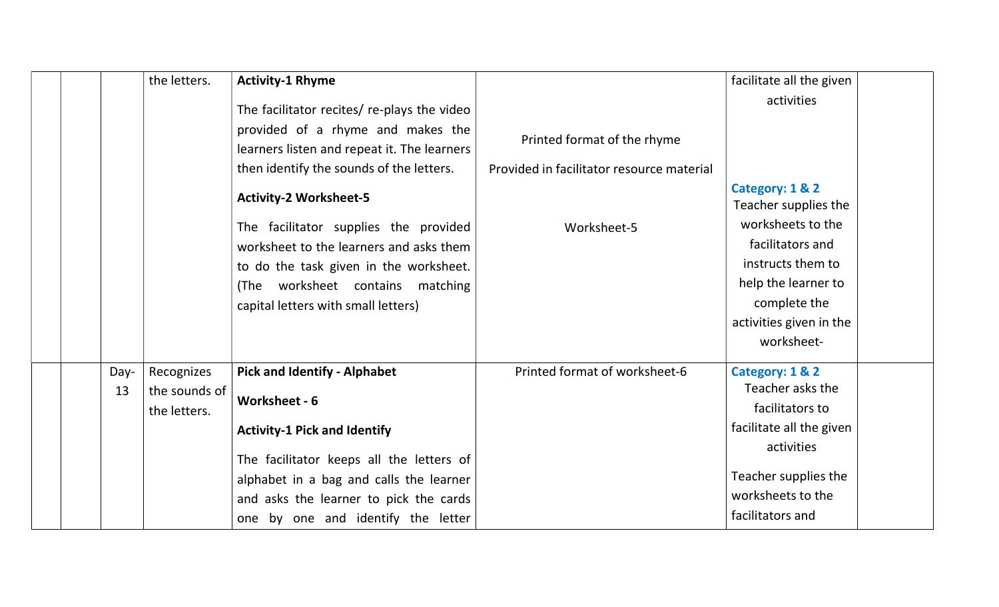|      | the letters.  | <b>Activity-1 Rhyme</b>                                                          |                                           | facilitate all the given                |  |
|------|---------------|----------------------------------------------------------------------------------|-------------------------------------------|-----------------------------------------|--|
|      |               | The facilitator recites/ re-plays the video                                      |                                           | activities                              |  |
|      |               | provided of a rhyme and makes the<br>learners listen and repeat it. The learners | Printed format of the rhyme               |                                         |  |
|      |               | then identify the sounds of the letters.                                         | Provided in facilitator resource material |                                         |  |
|      |               | <b>Activity-2 Worksheet-5</b>                                                    |                                           | Category: 1 & 2<br>Teacher supplies the |  |
|      |               | The facilitator supplies the provided<br>worksheet to the learners and asks them | Worksheet-5                               | worksheets to the<br>facilitators and   |  |
|      |               | to do the task given in the worksheet.                                           |                                           | instructs them to                       |  |
|      |               | (The worksheet contains matching                                                 |                                           | help the learner to                     |  |
|      |               | capital letters with small letters)                                              |                                           | complete the                            |  |
|      |               |                                                                                  |                                           | activities given in the                 |  |
|      |               |                                                                                  |                                           | worksheet-                              |  |
| Day- | Recognizes    | <b>Pick and Identify - Alphabet</b>                                              | Printed format of worksheet-6             | Category: 1 & 2                         |  |
| 13   | the sounds of |                                                                                  |                                           | Teacher asks the                        |  |
|      | the letters.  | Worksheet - 6                                                                    |                                           | facilitators to                         |  |
|      |               | <b>Activity-1 Pick and Identify</b>                                              |                                           | facilitate all the given                |  |
|      |               |                                                                                  |                                           | activities                              |  |
|      |               | The facilitator keeps all the letters of                                         |                                           |                                         |  |
|      |               | alphabet in a bag and calls the learner                                          |                                           | Teacher supplies the                    |  |
|      |               | and asks the learner to pick the cards                                           |                                           | worksheets to the                       |  |
|      |               | one by one and identify the letter                                               |                                           | facilitators and                        |  |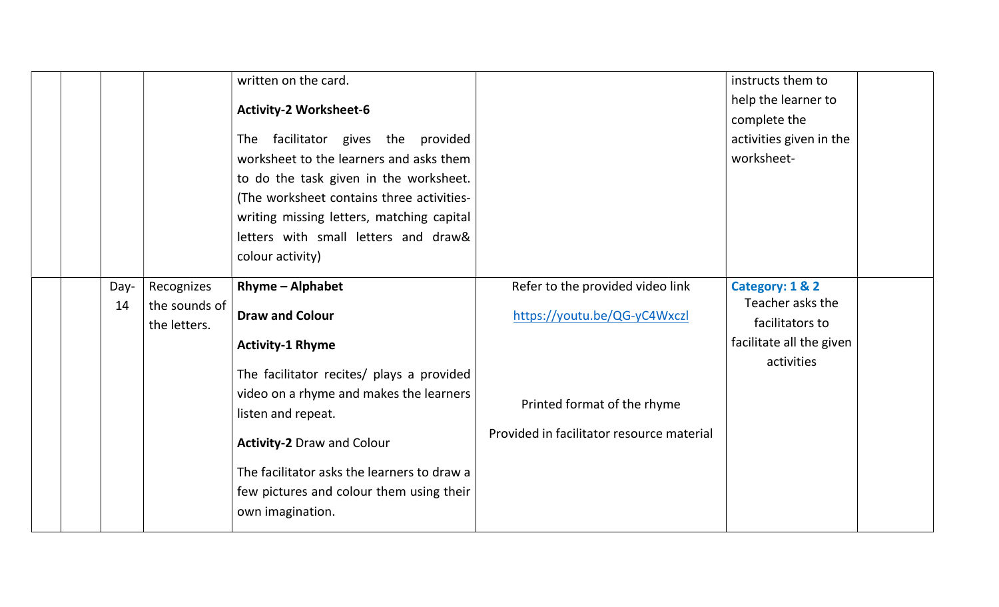|  |                                     | written on the card.<br><b>Activity-2 Worksheet-6</b><br>The facilitator gives the provided<br>worksheet to the learners and asks them<br>to do the task given in the worksheet.<br>(The worksheet contains three activities-<br>writing missing letters, matching capital<br>letters with small letters and draw&<br>colour activity) |                                                                          | instructs them to<br>help the learner to<br>complete the<br>activities given in the<br>worksheet- |  |
|--|-------------------------------------|----------------------------------------------------------------------------------------------------------------------------------------------------------------------------------------------------------------------------------------------------------------------------------------------------------------------------------------|--------------------------------------------------------------------------|---------------------------------------------------------------------------------------------------|--|
|  | Recognizes<br>Day-                  | <b>Rhyme - Alphabet</b>                                                                                                                                                                                                                                                                                                                | Refer to the provided video link                                         | Category: 1 & 2                                                                                   |  |
|  | the sounds of<br>14<br>the letters. | <b>Draw and Colour</b>                                                                                                                                                                                                                                                                                                                 | https://youtu.be/QG-yC4Wxczl                                             | Teacher asks the<br>facilitators to                                                               |  |
|  |                                     | <b>Activity-1 Rhyme</b>                                                                                                                                                                                                                                                                                                                |                                                                          | facilitate all the given                                                                          |  |
|  |                                     | The facilitator recites/ plays a provided<br>video on a rhyme and makes the learners<br>listen and repeat.<br><b>Activity-2 Draw and Colour</b><br>The facilitator asks the learners to draw a<br>few pictures and colour them using their<br>own imagination.                                                                         | Printed format of the rhyme<br>Provided in facilitator resource material | activities                                                                                        |  |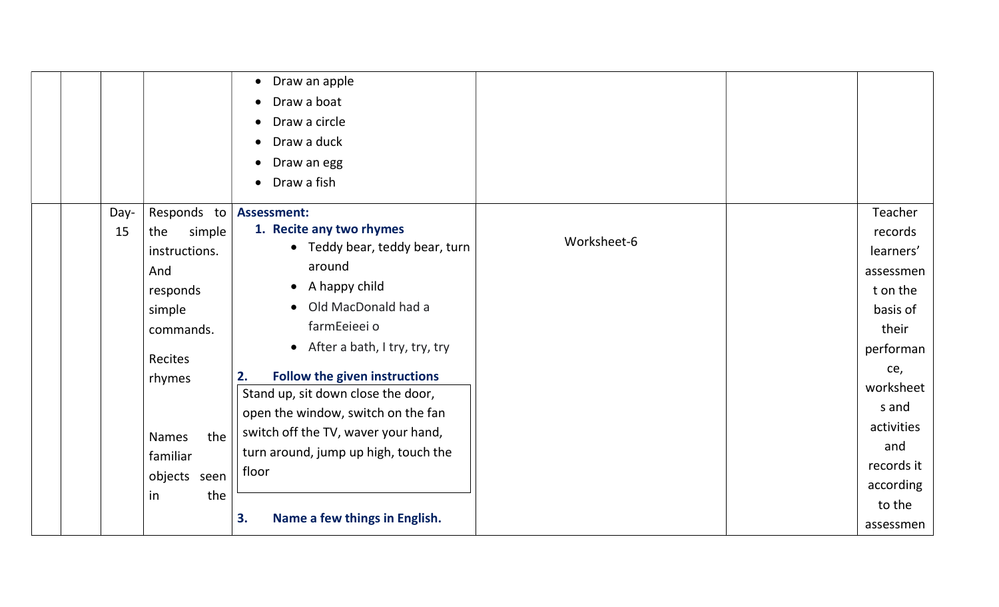|      |                     | Draw an apple<br>$\bullet$<br>Draw a boat<br>Draw a circle<br>Draw a duck<br>Draw an egg<br>Draw a fish |             |            |
|------|---------------------|---------------------------------------------------------------------------------------------------------|-------------|------------|
| Day- | Responds to         | <b>Assessment:</b>                                                                                      |             | Teacher    |
| 15   | the<br>simple       | 1. Recite any two rhymes                                                                                | Worksheet-6 | records    |
|      | instructions.       | • Teddy bear, teddy bear, turn                                                                          |             | learners'  |
|      | And                 | around                                                                                                  |             | assessmen  |
|      | responds            | • A happy child                                                                                         |             | t on the   |
|      | simple              | • Old MacDonald had a                                                                                   |             | basis of   |
|      | commands.           | farmEeieei o                                                                                            |             | their      |
|      | <b>Recites</b>      | • After a bath, I try, try, try                                                                         |             | performan  |
|      | rhymes              | <b>Follow the given instructions</b><br>2.                                                              |             | ce,        |
|      |                     | Stand up, sit down close the door,                                                                      |             | worksheet  |
|      |                     | open the window, switch on the fan                                                                      |             | s and      |
|      | the<br><b>Names</b> | switch off the TV, waver your hand,                                                                     |             | activities |
|      | familiar            | turn around, jump up high, touch the                                                                    |             | and        |
|      | objects<br>seen     | floor                                                                                                   |             | records it |
|      |                     |                                                                                                         |             | according  |
|      | the<br>in           |                                                                                                         |             | to the     |
|      |                     | 3.<br>Name a few things in English.                                                                     |             | assessmen  |